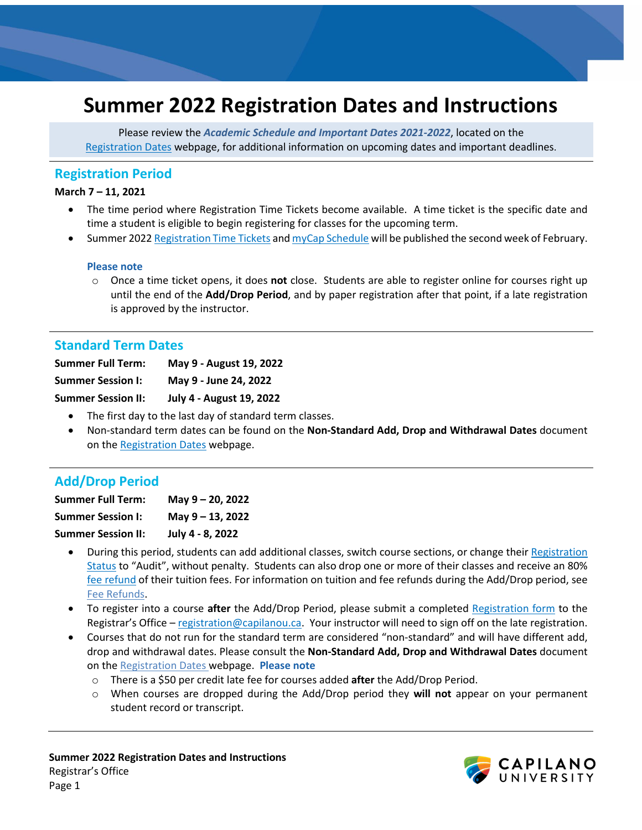# **Summer 2022 Registration Dates and Instructions**

Please review the *Academic Schedule and Important Dates 2021-2022*, located on the [Registration Dates](http://www.capilanou.ca/current/dates/) webpage, for additional information on upcoming dates and important deadlines.

## **Registration Period**

#### **March 7 – 11, 2021**

- The time period where Registration Time Tickets become available. A time ticket is the specific date and time a student is eligible to begin registering for classes for the upcoming term.
- Summer 2022 [Registration Time Tickets](https://www.capilanou.ca/admissions/course-registration/how-to-register/registration-time-tickets/) and [myCap Schedule](https://www.capilanou.ca/mycapu/mycap-schedule/) will be published the second week of February.

#### **Please note**

o Once a time ticket opens, it does **not** close. Students are able to register online for courses right up until the end of the **Add/Drop Period**, and by paper registration after that point, if a late registration is approved by the instructor.

## **Standard Term Dates**

| <b>Summer Full Term:</b>  | May 9 - August 19, 2022         |
|---------------------------|---------------------------------|
| <b>Summer Session I:</b>  | May 9 - June 24, 2022           |
| <b>Summer Session II:</b> | <b>July 4 - August 19, 2022</b> |

- The first day to the last day of standard term classes.
- Non-standard term dates can be found on the **Non-Standard Add, Drop and Withdrawal Dates** document on the [Registration Dates](https://www.capilanou.ca/admissions/course-registration/registration-dates/) webpage.

## **Add/Drop Period**

| <b>Summer Full Term:</b>  | May 9 - 20, 2022 |
|---------------------------|------------------|
| <b>Summer Session I:</b>  | May 9 - 13, 2022 |
| <b>Summer Session II:</b> | July 4 - 8, 2022 |

- During this period, students can add additional classes, switch course sections, or change thei[r Registration](https://www.capilanou.ca/mycapu/policies--procedures/academic-policies-and-procedures/)  [Status](https://www.capilanou.ca/mycapu/policies--procedures/academic-policies-and-procedures/) to "Audit", without penalty. Students can also drop one or more of their classes and receive an 80% [fee refund](https://www.capilanou.ca/admissions/fees--finances/tuition--fees/fee-refunds/) of their tuition fees. For information on tuition and fee refunds during the Add/Drop period, see [Fee Refunds.](http://www.capilanou.ca/fees/Fee-Refunds/)
- To register into a course **after** the Add/Drop Period, please submit a completed [Registration form](https://www.capilanou.ca/admissions/course-registration/registrars-office/transcripts--forms/) to the Registrar's Office – [registration@capilanou.ca.](mailto:registration@capilanou.ca) Your instructor will need to sign off on the late registration.
- Courses that do not run for the standard term are considered "non-standard" and will have different add, drop and withdrawal dates. Please consult the **Non-Standard Add, Drop and Withdrawal Dates** document on th[e Registration Dates](http://www.capilanou.ca/current/dates/) webpage. **Please note**
	- o There is a \$50 per credit late fee for courses added **after** the Add/Drop Period.
	- o When courses are dropped during the Add/Drop period they **will not** appear on your permanent student record or transcript.

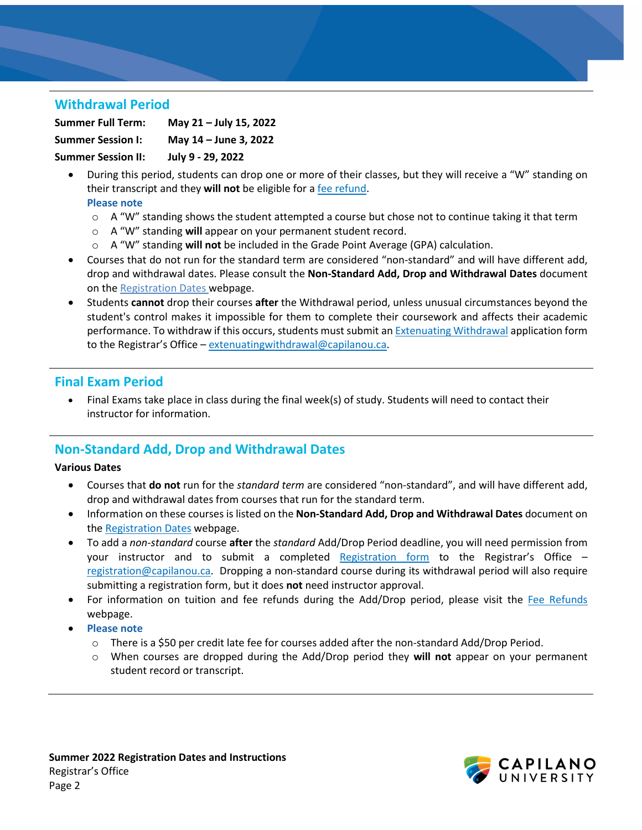# **Withdrawal Period**

**Summer Full Term: May 21 – July 15, 2022 Summer Session I: May 14 – June 3, 2022 Summer Session II: July 9 - 29, 2022**

• During this period, students can drop one or more of their classes, but they will receive a "W" standing on their transcript and they **will not** be eligible for a [fee refund.](https://www.capilanou.ca/admissions/fees--finances/tuition--fees/fee-refunds/)

#### **Please note**

- $\circ$  A "W" standing shows the student attempted a course but chose not to continue taking it that term
- o A "W" standing **will** appear on your permanent student record.
- o A "W" standing **will not** be included in the Grade Point Average (GPA) calculation.
- Courses that do not run for the standard term are considered "non-standard" and will have different add, drop and withdrawal dates. Please consult the **Non-Standard Add, Drop and Withdrawal Dates** document on th[e Registration Dates](http://www.capilanou.ca/current/dates/) webpage.
- Students **cannot** drop their courses **after** the Withdrawal period, unless unusual circumstances beyond the student's control makes it impossible for them to complete their coursework and affects their academic performance. To withdraw if this occurs, students must submit an [Extenuating Withdrawal](https://www.capilanou.ca/admissions/course-registration/registrars-office/appeals/) application form to the Registrar's Office - extenuating withdrawal@capilanou.ca.

## **Final Exam Period**

• Final Exams take place in class during the final week(s) of study. Students will need to contact their instructor for information.

# **Non-Standard Add, Drop and Withdrawal Dates**

#### **Various Dates**

- Courses that **do not** run for the *standard term* are considered "non-standard", and will have different add, drop and withdrawal dates from courses that run for the standard term.
- Information on these courses is listed on the **Non-Standard Add, Drop and Withdrawal Dates** document on th[e Registration Dates](http://www.capilanou.ca/current/dates/) webpage.
- To add a *non-standard* course **after** the *standard* Add/Drop Period deadline, you will need permission from your instructor and to submit a completed [Registration form](https://www.capilanou.ca/admissions/course-registration/registrars-office/transcripts--forms/) to the Registrar's Office – [registration@capilanou.ca.](mailto:registration@capilanou.ca) Dropping a non-standard course during its withdrawal period will also require submitting a registration form, but it does **not** need instructor approval.
- For information on tuition and fee refunds during the Add/Drop period, please visit the [Fee Refunds](https://www.capilanou.ca/admissions/fees--finances/tuition--fees/fee-refunds/) webpage.
- **Please note**
	- o There is a \$50 per credit late fee for courses added after the non-standard Add/Drop Period.
	- o When courses are dropped during the Add/Drop period they **will not** appear on your permanent student record or transcript.

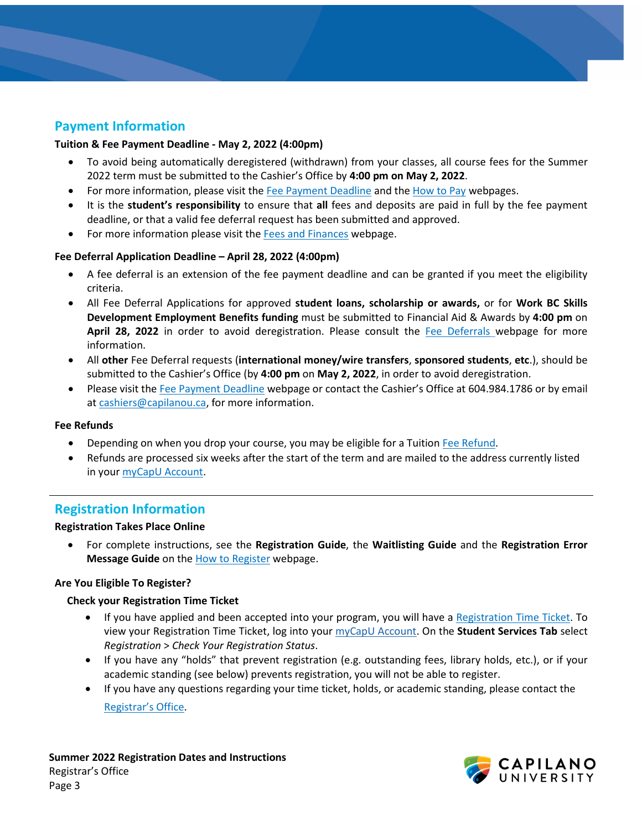# **Payment Information**

#### **Tuition & Fee Payment Deadline - May 2, 2022 (4:00pm)**

- To avoid being automatically deregistered (withdrawn) from your classes, all course fees for the Summer 2022 term must be submitted to the Cashier's Office by **4:00 pm on May 2, 2022**.
- For more information, please visit the [Fee Payment Deadline](https://www.capilanou.ca/admissions/fees--finances/fee-payment-deadline/) and th[e How to Pay](https://www.capilanou.ca/admissions/fees--finances/how-to-pay/) webpages.
- It is the **student's responsibility** to ensure that **all** fees and deposits are paid in full by the fee payment deadline, or that a valid fee deferral request has been submitted and approved.
- For more information please visit the [Fees and Finances](http://www.capilanou.ca/fees/) webpage.

#### **Fee Deferral Application Deadline – April 28, 2022 (4:00pm)**

- A fee deferral is an extension of the fee payment deadline and can be granted if you meet the eligibility criteria.
- All Fee Deferral Applications for approved **student loans, scholarship or awards,** or for **Work BC Skills Development Employment Benefits funding** must be submitted to Financial Aid & Awards by **4:00 pm** on **April 28, 2022** in order to avoid deregistration. Please consult the [Fee Deferrals](http://www.capilanou.ca/fee-deferrals/) webpage for more information.
- All **other** Fee Deferral requests (**international money/wire transfers**, **sponsored students**, **etc**.), should be submitted to the Cashier's Office (by **4:00 pm** on **May 2, 2022**, in order to avoid deregistration.
- Please visit the [Fee Payment Deadline](https://www.capilanou.ca/admissions/fees--finances/fee-payment-deadline/) webpage or contact the Cashier's Office at 604.984.1786 or by email a[t cashiers@capilanou.ca,](mailto:cashiers@capilanou.ca) for more information.

#### **Fee Refunds**

- Depending on when you drop your course, you may be eligible for a Tuition [Fee Refund.](http://www.capilanou.ca/fees/Fee-Refunds/)
- Refunds are processed six weeks after the start of the term and are mailed to the address currently listed in your [myCapU Account.](https://www.capilanou.ca/mycapu/)

### **Registration Information**

#### **Registration Takes Place Online**

• For complete instructions, see the **Registration Guide**, the **Waitlisting Guide** and the **Registration Error Message Guide** on the [How to Register](http://www.capilanou.ca/how-to-register/) webpage.

#### **Are You Eligible To Register?**

#### **Check your Registration Time Ticket**

- If you have applied and been accepted into your program, you will have a [Registration Time Ticket.](https://www.capilanou.ca/admissions/course-registration/how-to-register/registration-time-tickets/) To view your Registration Time Ticket, log into your [myCapU Account.](https://ssb.capilanou.ca/prod/twbkwbis.P_WWWLogin) On the **Student Services Tab** select *Registration* > *Check Your Registration Status*.
- If you have any "holds" that prevent registration (e.g. outstanding fees, library holds, etc.), or if your academic standing (see below) prevents registration, you will not be able to register.
- If you have any questions regarding your time ticket, holds, or academic standing, please contact the [Registrar's Office.](http://www.capilanou.ca/registrar/)



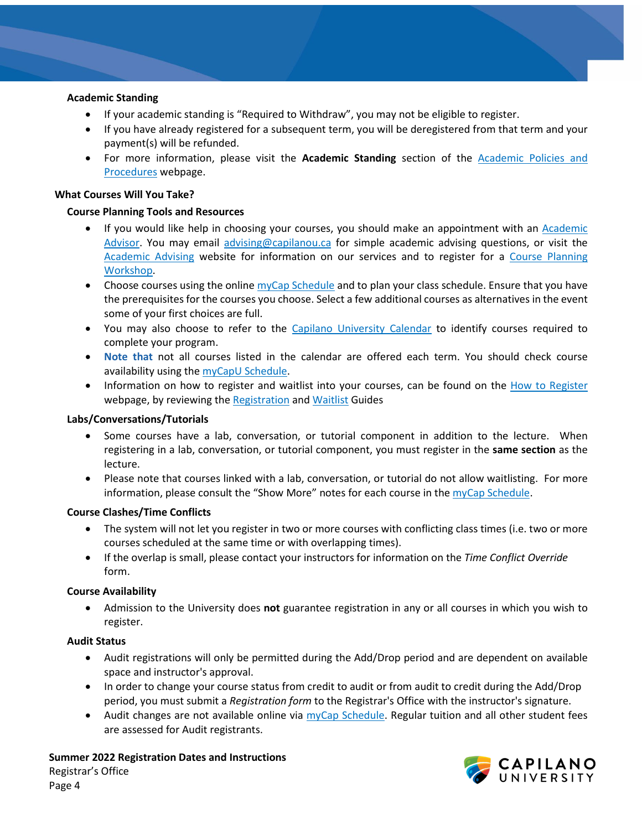#### **Academic Standing**

- If your academic standing is "Required to Withdraw", you may not be eligible to register.
- If you have already registered for a subsequent term, you will be deregistered from that term and your payment(s) will be refunded.
- For more information, please visit the **Academic Standing** section of the [Academic Policies and](https://www.capilanou.ca/mycapu/policies--procedures/academic-policies-and-procedures/) [Procedures](https://www.capilanou.ca/mycapu/policies--procedures/academic-policies-and-procedures/) webpage.

#### **What Courses Will You Take?**

#### **Course Planning Tools and Resources**

- If you would like help in choosing your courses, you should make an appointment with an [Academic](https://www.capilanou.ca/student-life/academic-support/academic-advising/)  [Advisor.](https://www.capilanou.ca/student-life/academic-support/academic-advising/) You may email [advising@capilanou.ca](mailto:advising@capilanou.ca) for simple academic advising questions, or visit the [Academic Advising](https://www.capilanou.ca/student-life/academic-support/academic-advising/) website for information on our services and to register for a [Course Planning](https://www.capilanou.ca/student-life/academic-support/academic-advising/course-planning-workshops/)  [Workshop.](https://www.capilanou.ca/student-life/academic-support/academic-advising/course-planning-workshops/)
- Choose courses using the online  $\frac{myCap}{Schedule}$  and to plan your class schedule. Ensure that you have the prerequisites for the courses you choose. Select a few additional courses as alternatives in the event some of your first choices are full.
- You may also choose to refer to the [Capilano University Calendar](https://www.capilanou.ca/admissions/course-registration/capilano-university-calendar/) to identify courses required to complete your program.
- **Note that** not all courses listed in the calendar are offered each term. You should check course availability using the [myCapU Schedule.](http://www.capilanou.ca/current/mycapschedule/)
- Information on how to register and waitlist into your courses, can be found on the [How to Register](https://capilanou.ca/admissions/course-registration/how-to-register/) webpage, by reviewing the [Registration](https://capilanou.ca/media/capilanouca/admissions/course-registration/how-to-register/Registration-Guide.pdf) and [Waitlist](https://capilanou.ca/media/capilanouca/admissions/course-registration/how-to-register/Waitlist-Guide.pdf) Guides

#### **Labs/Conversations/Tutorials**

- Some courses have a lab, conversation, or tutorial component in addition to the lecture. When registering in a lab, conversation, or tutorial component, you must register in the **same section** as the lecture.
- Please note that courses linked with a lab, conversation, or tutorial do not allow waitlisting. For more information, please consult the "Show More" notes for each course in the [myCap Schedule.](http://www.capilanou.ca/current/mycapschedule/)

#### **Course Clashes/Time Conflicts**

- The system will not let you register in two or more courses with conflicting class times (i.e. two or more courses scheduled at the same time or with overlapping times).
- If the overlap is small, please contact your instructors for information on the *Time Conflict Override* form.

#### **Course Availability**

• Admission to the University does **not** guarantee registration in any or all courses in which you wish to register.

#### **Audit Status**

- Audit registrations will only be permitted during the Add/Drop period and are dependent on available space and instructor's approval.
- In order to change your course status from credit to audit or from audit to credit during the Add/Drop period, you must submit a *Registration form* to the Registrar's Office with the instructor's signature.
- Audit changes are not available online via [myCap Schedule.](http://www.capilanou.ca/current/mycapschedule/) Regular tuition and all other student fees are assessed for Audit registrants.

**Summer 2022 Registration Dates and Instructions**  Registrar's Office Page 4

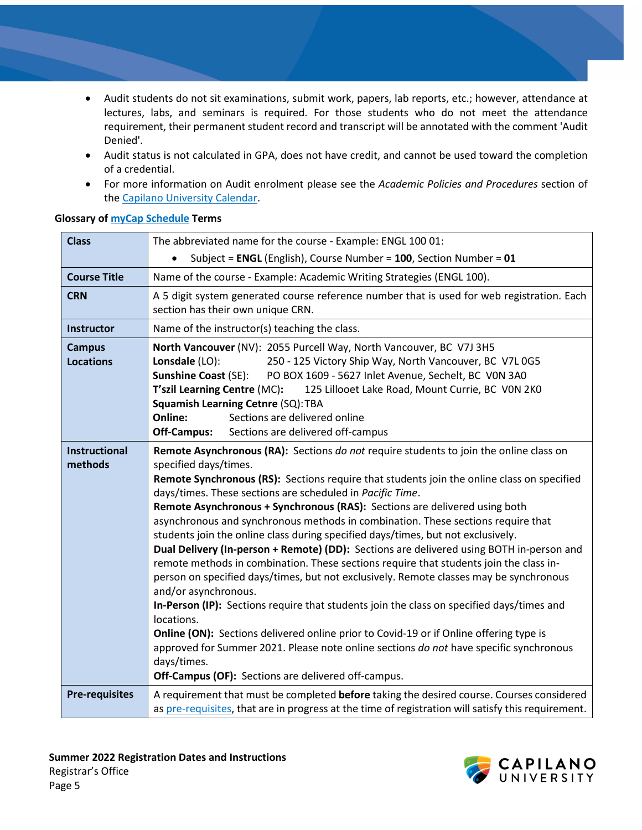- Audit students do not sit examinations, submit work, papers, lab reports, etc.; however, attendance at lectures, labs, and seminars is required. For those students who do not meet the attendance requirement, their permanent student record and transcript will be annotated with the comment 'Audit Denied'.
- Audit status is not calculated in GPA, does not have credit, and cannot be used toward the completion of a credential.
- For more information on Audit enrolment please see the *Academic Policies and Procedures* section of th[e Capilano University Calendar.](https://www.capilanou.ca/admissions/course-registration/capilano-university-calendar/)

| <b>Class</b>                      | The abbreviated name for the course - Example: ENGL 100 01:                                                                                                                                                                                                                                                                                                                                                                                                                                                                                                                                                                                                                                                                                                                                                                                                                                                                                                                                                                                                                                                                                                                                                   |  |  |
|-----------------------------------|---------------------------------------------------------------------------------------------------------------------------------------------------------------------------------------------------------------------------------------------------------------------------------------------------------------------------------------------------------------------------------------------------------------------------------------------------------------------------------------------------------------------------------------------------------------------------------------------------------------------------------------------------------------------------------------------------------------------------------------------------------------------------------------------------------------------------------------------------------------------------------------------------------------------------------------------------------------------------------------------------------------------------------------------------------------------------------------------------------------------------------------------------------------------------------------------------------------|--|--|
|                                   | Subject = ENGL (English), Course Number = 100, Section Number = 01                                                                                                                                                                                                                                                                                                                                                                                                                                                                                                                                                                                                                                                                                                                                                                                                                                                                                                                                                                                                                                                                                                                                            |  |  |
| <b>Course Title</b>               | Name of the course - Example: Academic Writing Strategies (ENGL 100).                                                                                                                                                                                                                                                                                                                                                                                                                                                                                                                                                                                                                                                                                                                                                                                                                                                                                                                                                                                                                                                                                                                                         |  |  |
| <b>CRN</b>                        | A 5 digit system generated course reference number that is used for web registration. Each<br>section has their own unique CRN.                                                                                                                                                                                                                                                                                                                                                                                                                                                                                                                                                                                                                                                                                                                                                                                                                                                                                                                                                                                                                                                                               |  |  |
| <b>Instructor</b>                 | Name of the instructor(s) teaching the class.                                                                                                                                                                                                                                                                                                                                                                                                                                                                                                                                                                                                                                                                                                                                                                                                                                                                                                                                                                                                                                                                                                                                                                 |  |  |
| <b>Campus</b><br><b>Locations</b> | North Vancouver (NV): 2055 Purcell Way, North Vancouver, BC V7J 3H5<br>250 - 125 Victory Ship Way, North Vancouver, BC V7L 0G5<br>Lonsdale (LO):<br><b>Sunshine Coast (SE):</b><br>PO BOX 1609 - 5627 Inlet Avenue, Sechelt, BC VON 3A0<br>125 Lillooet Lake Road, Mount Currie, BC VON 2KO<br>T'szil Learning Centre (MC):<br>Squamish Learning Cetnre (SQ): TBA<br>Online:<br>Sections are delivered online<br><b>Off-Campus:</b><br>Sections are delivered off-campus                                                                                                                                                                                                                                                                                                                                                                                                                                                                                                                                                                                                                                                                                                                                      |  |  |
| <b>Instructional</b><br>methods   | Remote Asynchronous (RA): Sections do not require students to join the online class on<br>specified days/times.<br>Remote Synchronous (RS): Sections require that students join the online class on specified<br>days/times. These sections are scheduled in Pacific Time.<br>Remote Asynchronous + Synchronous (RAS): Sections are delivered using both<br>asynchronous and synchronous methods in combination. These sections require that<br>students join the online class during specified days/times, but not exclusively.<br>Dual Delivery (In-person + Remote) (DD): Sections are delivered using BOTH in-person and<br>remote methods in combination. These sections require that students join the class in-<br>person on specified days/times, but not exclusively. Remote classes may be synchronous<br>and/or asynchronous.<br>In-Person (IP): Sections require that students join the class on specified days/times and<br>locations.<br>Online (ON): Sections delivered online prior to Covid-19 or if Online offering type is<br>approved for Summer 2021. Please note online sections do not have specific synchronous<br>days/times.<br>Off-Campus (OF): Sections are delivered off-campus. |  |  |
| <b>Pre-requisites</b>             | A requirement that must be completed before taking the desired course. Courses considered<br>as pre-requisites, that are in progress at the time of registration will satisfy this requirement.                                                                                                                                                                                                                                                                                                                                                                                                                                                                                                                                                                                                                                                                                                                                                                                                                                                                                                                                                                                                               |  |  |

#### **Glossary o[f myCap Schedule](https://capilanou.ca/mycapu/mycap-schedule/) Terms**



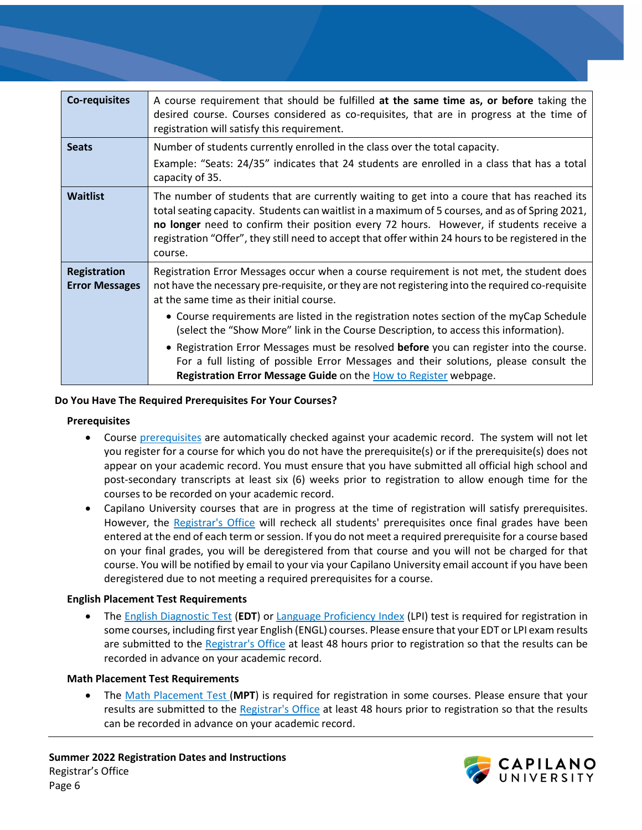| <b>Co-requisites</b>                         | A course requirement that should be fulfilled at the same time as, or before taking the<br>desired course. Courses considered as co-requisites, that are in progress at the time of<br>registration will satisfy this requirement.                                                                                                                                                                        |
|----------------------------------------------|-----------------------------------------------------------------------------------------------------------------------------------------------------------------------------------------------------------------------------------------------------------------------------------------------------------------------------------------------------------------------------------------------------------|
| <b>Seats</b>                                 | Number of students currently enrolled in the class over the total capacity.                                                                                                                                                                                                                                                                                                                               |
|                                              | Example: "Seats: 24/35" indicates that 24 students are enrolled in a class that has a total<br>capacity of 35.                                                                                                                                                                                                                                                                                            |
| <b>Waitlist</b>                              | The number of students that are currently waiting to get into a coure that has reached its<br>total seating capacity. Students can waitlist in a maximum of 5 courses, and as of Spring 2021,<br>no longer need to confirm their position every 72 hours. However, if students receive a<br>registration "Offer", they still need to accept that offer within 24 hours to be registered in the<br>course. |
| <b>Registration</b><br><b>Error Messages</b> | Registration Error Messages occur when a course requirement is not met, the student does<br>not have the necessary pre-requisite, or they are not registering into the required co-requisite<br>at the same time as their initial course.                                                                                                                                                                 |
|                                              | • Course requirements are listed in the registration notes section of the myCap Schedule<br>(select the "Show More" link in the Course Description, to access this information).                                                                                                                                                                                                                          |
|                                              | • Registration Error Messages must be resolved before you can register into the course.<br>For a full listing of possible Error Messages and their solutions, please consult the<br>Registration Error Message Guide on the How to Register webpage.                                                                                                                                                      |

#### **Do You Have The Required Prerequisites For Your Courses?**

#### **Prerequisites**

- Course [prerequisites](https://www.capilanou.ca/admissions/course-registration/how-to-register/planning-your-courses/) are automatically checked against your academic record. The system will not let you register for a course for which you do not have the prerequisite(s) or if the prerequisite(s) does not appear on your academic record. You must ensure that you have submitted all official high school and post-secondary transcripts at least six (6) weeks prior to registration to allow enough time for the courses to be recorded on your academic record.
- Capilano University courses that are in progress at the time of registration will satisfy prerequisites. However, the [Registrar's Office](http://www.capilanou.ca/registrar/) will recheck all students' prerequisites once final grades have been entered at the end of each term or session. If you do not meet a required prerequisite for a course based on your final grades, you will be deregistered from that course and you will not be charged for that course. You will be notified by email to your via your Capilano University email account if you have been deregistered due to not meeting a required prerequisites for a course.

#### **English Placement Test Requirements**

• Th[e English Diagnostic Test](https://www.capilanou.ca/student-life/academic-support/learning-supports/english-diagnostic-test/) (**EDT**) or [Language Proficiency Index](https://www.lpitest.ca/) (LPI) test is required for registration in some courses, including first year English (ENGL) courses. Please ensure that your EDT or LPI exam results are submitted to the [Registrar's Office](http://www.capilanou.ca/registrar/) at least 48 hours prior to registration so that the results can be recorded in advance on your academic record.

#### **Math Placement Test Requirements**

• The [Math Placement Test \(](https://www.capilanou.ca/student-life/academic-support/learning-supports/math-placement-test-mpt/)**MPT**) is required for registration in some courses. Please ensure that your results are submitted to the [Registrar's Office](http://www.capilanou.ca/registrar/) at least 48 hours prior to registration so that the results can be recorded in advance on your academic record.